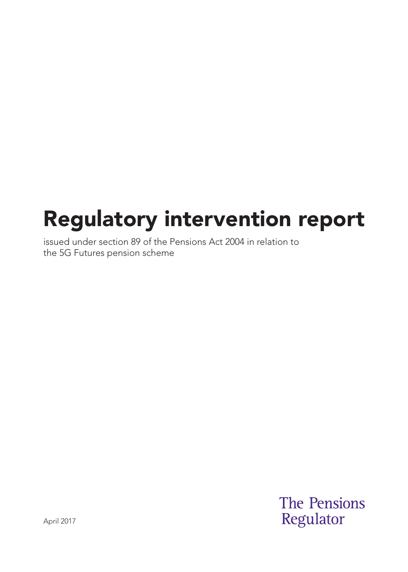# Regulatory intervention report

issued under section 89 of the Pensions Act 2004 in relation to the 5G Futures pension scheme

> **The Pensions** Regulator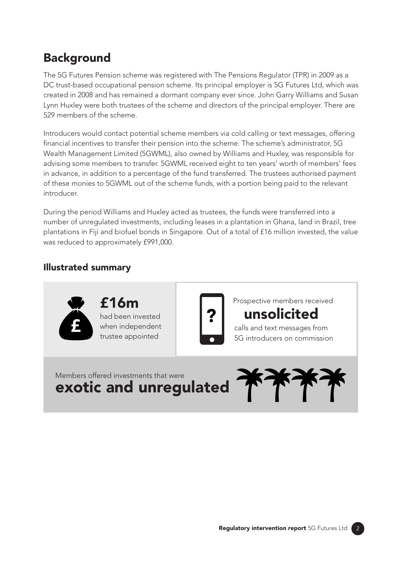### **Background**

The 5G Futures Pension scheme was registered with The Pensions Regulator (TPR) in 2009 as a DC trust-based occupational pension scheme. Its principal employer is 5G Futures Ltd, which was created in 2008 and has remained a dormant company ever since. John Garry Williams and Susan Lynn Huxley were both trustees of the scheme and directors of the principal employer. There are 529 members of the scheme.

Introducers would contact potential scheme members via cold calling or text messages, offering financial incentives to transfer their pension into the scheme. The scheme's administrator, 5G Wealth Management Limited (5GWML), also owned by Williams and Huxley, was responsible for advising some members to transfer. 5GWML received eight to ten years' worth of members' fees in advance, in addition to a percentage of the fund transferred. The trustees authorised payment of these monies to 5GWML out of the scheme funds, with a portion being paid to the relevant introducer.

During the period Williams and Huxley acted as trustees, the funds were transferred into a number of unregulated investments, including leases in a plantation in Ghana, land in Brazil, tree plantations in Fiji and biofuel bonds in Singapore. Out of a total of £16 million invested, the value was reduced to approximately £991,000.

#### Illustrated summary

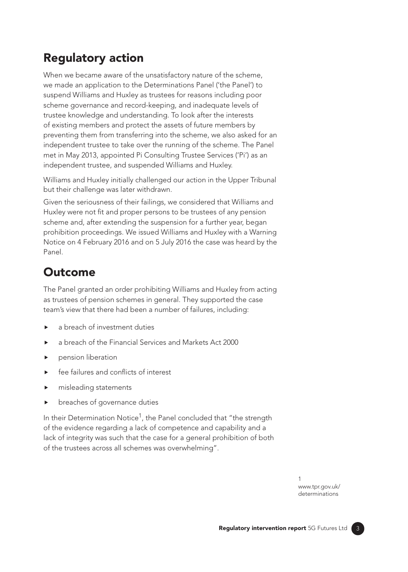## Regulatory action

When we became aware of the unsatisfactory nature of the scheme, we made an application to the Determinations Panel ('the Panel') to suspend Williams and Huxley as trustees for reasons including poor scheme governance and record-keeping, and inadequate levels of trustee knowledge and understanding. To look after the interests of existing members and protect the assets of future members by preventing them from transferring into the scheme, we also asked for an independent trustee to take over the running of the scheme. The Panel met in May 2013, appointed Pi Consulting Trustee Services ('Pi') as an independent trustee, and suspended Williams and Huxley.

Williams and Huxley initially challenged our action in the Upper Tribunal but their challenge was later withdrawn.

Given the seriousness of their failings, we considered that Williams and Huxley were not fit and proper persons to be trustees of any pension scheme and, after extending the suspension for a further year, began prohibition proceedings. We issued Williams and Huxley with a Warning Notice on 4 February 2016 and on 5 July 2016 the case was heard by the Panel.

#### **Outcome**

The Panel granted an order prohibiting Williams and Huxley from acting as trustees of pension schemes in general. They supported the case team's view that there had been a number of failures, including:

- a breach of investment duties
- a breach of the Financial Services and Markets Act 2000
- pension liberation
- fee failures and conflicts of interest
- misleading statements
- breaches of governance duties

In their Determination Notice<sup>1</sup>, the Panel concluded that "the strength of the evidence regarding a lack of competence and capability and a lack of integrity was such that the case for a general prohibition of both of the trustees across all schemes was overwhelming".

> 1 www.tpr.gov.uk/ determinations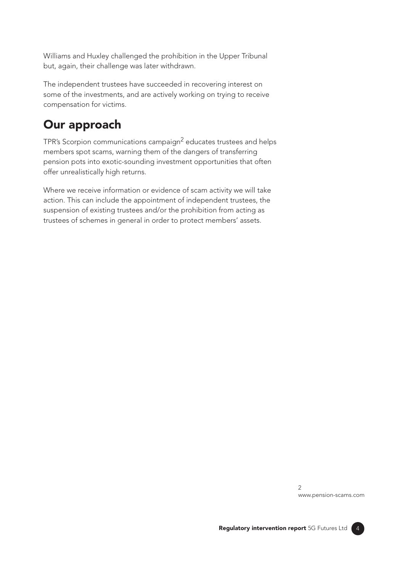Williams and Huxley challenged the prohibition in the Upper Tribunal but, again, their challenge was later withdrawn.

The independent trustees have succeeded in recovering interest on some of the investments, and are actively working on trying to receive compensation for victims.

### Our approach

TPR's Scorpion communications campaign<sup>2</sup> educates trustees and helps members spot scams, warning them of the dangers of transferring pension pots into exotic-sounding investment opportunities that often offer unrealistically high returns.

Where we receive information or evidence of scam activity we will take action. This can include the appointment of independent trustees, the suspension of existing trustees and/or the prohibition from acting as trustees of schemes in general in order to protect members' assets.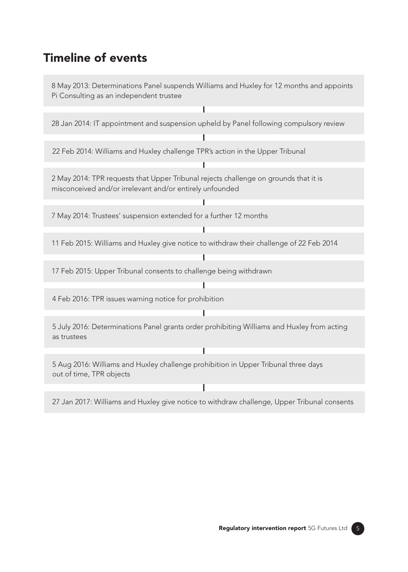#### Timeline of events



27 Jan 2017: Williams and Huxley give notice to withdraw challenge, Upper Tribunal consents